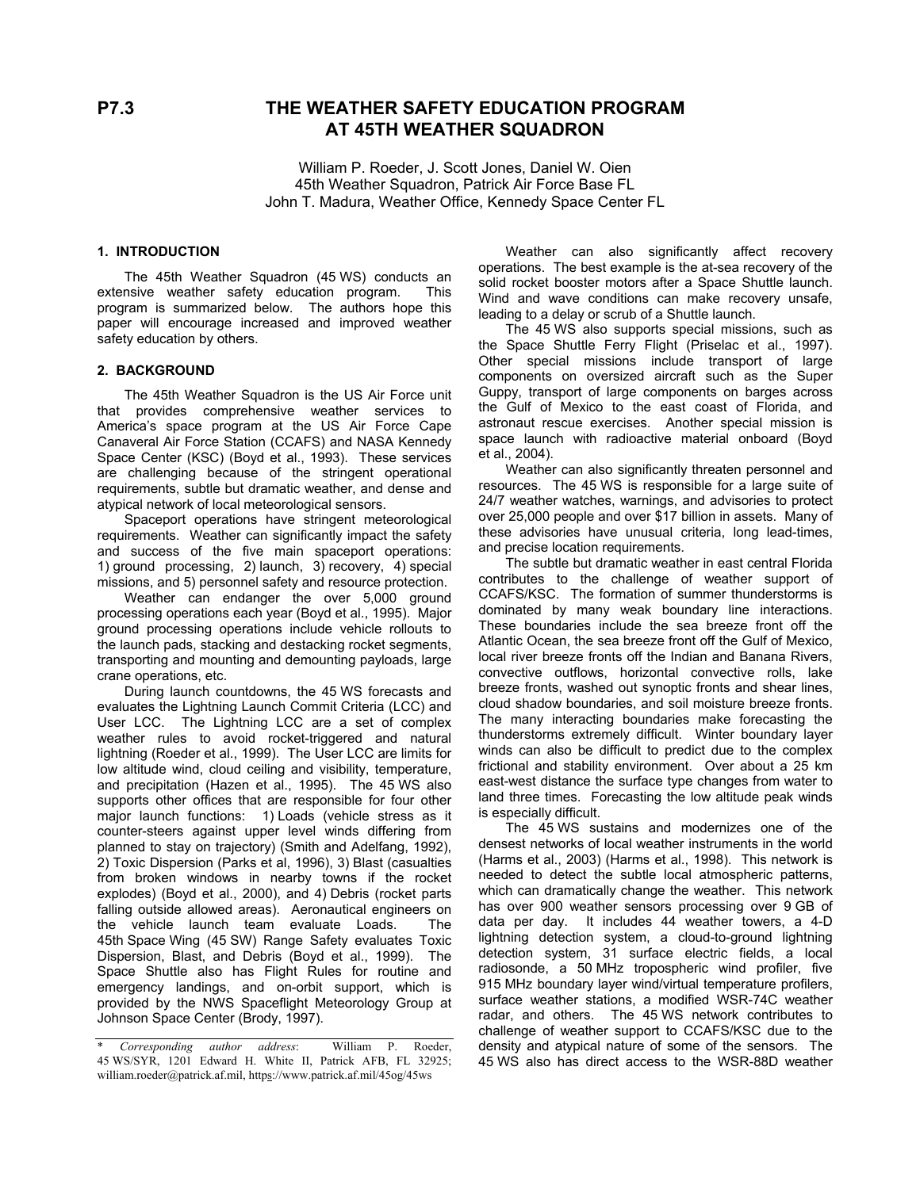# **P7.3 THE WEATHER SAFETY EDUCATION PROGRAM AT 45TH WEATHER SQUADRON**

William P. Roeder, J. Scott Jones, Daniel W. Oien 45th Weather Squadron, Patrick Air Force Base FL John T. Madura, Weather Office, Kennedy Space Center FL

# **1. INTRODUCTION**

The 45th Weather Squadron (45 WS) conducts an extensive weather safety education program. This program is summarized below. The authors hope this paper will encourage increased and improved weather paper will encourage increased and improved wealther The 45 WS also supports special missions, such as<br>safety education by others.

## **2. BACKGROUND**

The 45th Weather Squadron is the US Air Force unit that provides comprehensive weather services to America's space program at the US Air Force Cape Canaveral Air Force Station (CCAFS) and NASA Kennedy Space Center (KSC) (Boyd et al., 1993). These services are challenging because of the stringent operational requirements, subtle but dramatic weather, and dense and atypical network of local meteorological sensors.

Spaceport operations have stringent meteorological requirements. Weather can significantly impact the safety and success of the five main spaceport operations: 1) ground processing, 2) launch, 3) recovery, 4) special missions, and 5) personnel safety and resource protection.

Weather can endanger the over 5,000 ground processing operations each year (Boyd et al., 1995). Major ground processing operations include vehicle rollouts to the launch pads, stacking and destacking rocket segments, transporting and mounting and demounting payloads, large crane operations, etc.

During launch countdowns, the 45 WS forecasts and evaluates the Lightning Launch Commit Criteria (LCC) and User LCC. The Lightning LCC are a set of complex weather rules to avoid rocket-triggered and natural lightning (Roeder et al., 1999). The User LCC are limits for low altitude wind, cloud ceiling and visibility, temperature, and precipitation (Hazen et al., 1995). The 45 WS also supports other offices that are responsible for four other major launch functions: 1) Loads (vehicle stress as it counter-steers against upper level winds differing from planned to stay on trajectory) (Smith and Adelfang, 1992), 2) Toxic Dispersion (Parks et al, 1996), 3) Blast (casualties from broken windows in nearby towns if the rocket explodes) (Boyd et al., 2000), and 4) Debris (rocket parts falling outside allowed areas). Aeronautical engineers on the vehicle launch team evaluate Loads. The 45th Space Wing (45 SW) Range Safety evaluates Toxic Dispersion, Blast, and Debris (Boyd et al., 1999). The Space Shuttle also has Flight Rules for routine and emergency landings, and on-orbit support, which is provided by the NWS Spaceflight Meteorology Group at Johnson Space Center (Brody, 1997).

Weather can also significantly affect recovery operations. The best example is the at-sea recovery of the solid rocket booster motors after a Space Shuttle launch. Wind and wave conditions can make recovery unsafe, leading to a delay or scrub of a Shuttle launch.

the Space Shuttle Ferry Flight (Priselac et al., 1997). Other special missions include transport of large components on oversized aircraft such as the Super Guppy, transport of large components on barges across the Gulf of Mexico to the east coast of Florida, and astronaut rescue exercises. Another special mission is space launch with radioactive material onboard (Boyd et al., 2004).

Weather can also significantly threaten personnel and resources. The 45 WS is responsible for a large suite of 24/7 weather watches, warnings, and advisories to protect over 25,000 people and over \$17 billion in assets. Many of these advisories have unusual criteria, long lead-times, and precise location requirements.

The subtle but dramatic weather in east central Florida contributes to the challenge of weather support of CCAFS/KSC. The formation of summer thunderstorms is dominated by many weak boundary line interactions. These boundaries include the sea breeze front off the Atlantic Ocean, the sea breeze front off the Gulf of Mexico, local river breeze fronts off the Indian and Banana Rivers, convective outflows, horizontal convective rolls, lake breeze fronts, washed out synoptic fronts and shear lines, cloud shadow boundaries, and soil moisture breeze fronts. The many interacting boundaries make forecasting the thunderstorms extremely difficult. Winter boundary layer winds can also be difficult to predict due to the complex frictional and stability environment. Over about a 25 km east-west distance the surface type changes from water to land three times. Forecasting the low altitude peak winds is especially difficult.

The 45 WS sustains and modernizes one of the densest networks of local weather instruments in the world (Harms et al., 2003) (Harms et al., 1998). This network is needed to detect the subtle local atmospheric patterns, which can dramatically change the weather. This network has over 900 weather sensors processing over 9 GB of data per day. It includes 44 weather towers, a 4-D lightning detection system, a cloud-to-ground lightning detection system, 31 surface electric fields, a local radiosonde, a 50 MHz tropospheric wind profiler, five 915 MHz boundary layer wind/virtual temperature profilers, surface weather stations, a modified WSR-74C weather radar, and others. The 45 WS network contributes to challenge of weather support to CCAFS/KSC due to the density and atypical nature of some of the sensors. The 45 WS also has direct access to the WSR-88D weather

<sup>\*</sup> *Corresponding author address*: William P. Roeder, 45 WS/SYR, 1201 Edward H. White II, Patrick AFB, FL 32925; william.roeder@patrick.af.mil, https://www.patrick.af.mil/45og/45ws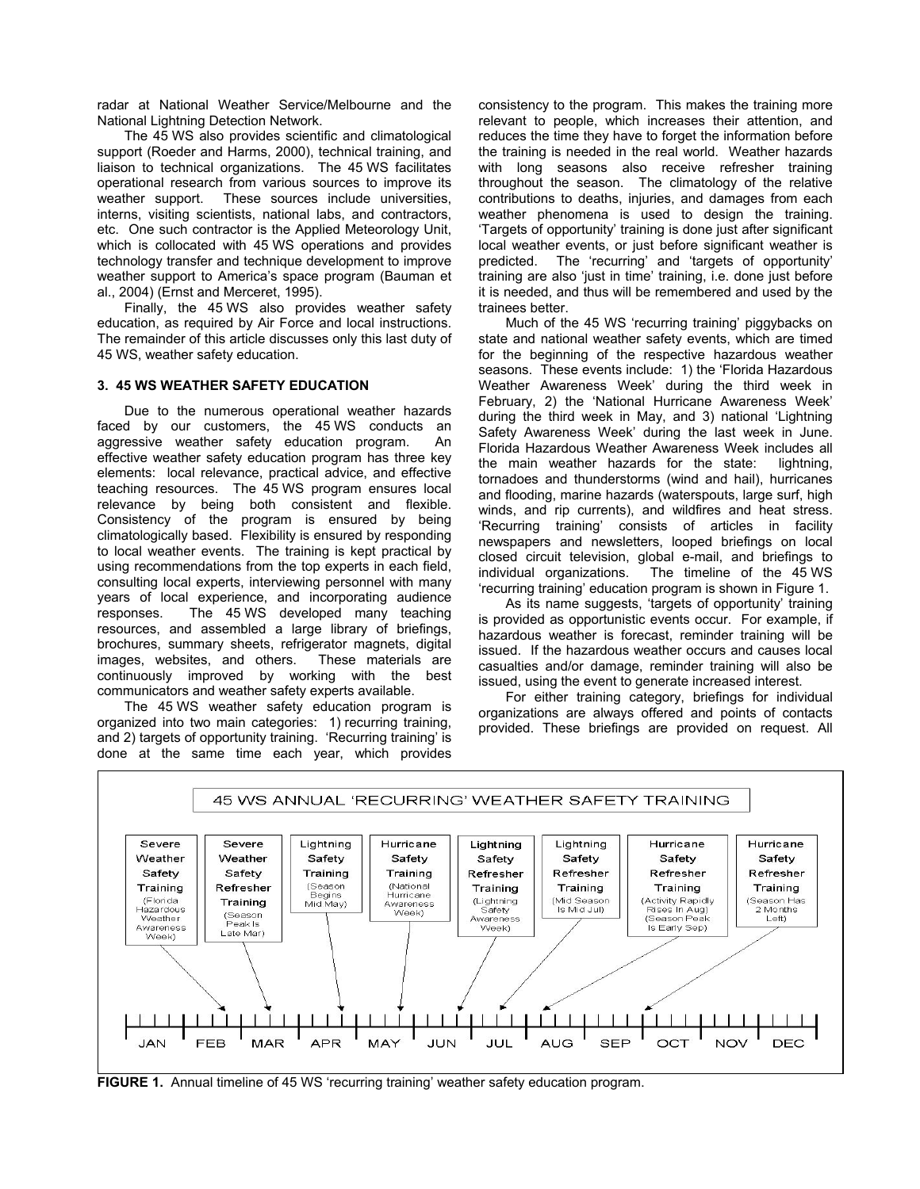radar at National Weather Service/Melbourne and the National Lightning Detection Network.

The 45 WS also provides scientific and climatological support (Roeder and Harms, 2000), technical training, and liaison to technical organizations. The 45 WS facilitates operational research from various sources to improve its weather support. These sources include universities, interns, visiting scientists, national labs, and contractors, etc. One such contractor is the Applied Meteorology Unit, which is collocated with 45 WS operations and provides technology transfer and technique development to improve weather support to America's space program (Bauman et al., 2004) (Ernst and Merceret, 1995).

Finally, the 45 WS also provides weather safety education, as required by Air Force and local instructions. The remainder of this article discusses only this last duty of 45 WS, weather safety education.

### **3. 45 WS WEATHER SAFETY EDUCATION**

Due to the numerous operational weather hazards faced by our customers, the 45 WS conducts an aggressive weather safety education program. An effective weather safety education program has three key elements: local relevance, practical advice, and effective teaching resources. The 45 WS program ensures local relevance by being both consistent and flexible. Consistency of the program is ensured by being climatologically based. Flexibility is ensured by responding to local weather events. The training is kept practical by using recommendations from the top experts in each field, consulting local experts, interviewing personnel with many years of local experience, and incorporating audience responses. The 45 WS developed many teaching resources, and assembled a large library of briefings, brochures, summary sheets, refrigerator magnets, digital images, websites, and others. These materials are continuously improved by working with the best communicators and weather safety experts available.

The 45 WS weather safety education program is organized into two main categories: 1) recurring training, and 2) targets of opportunity training. 'Recurring training' is done at the same time each year, which provides

consistency to the program. This makes the training more relevant to people, which increases their attention, and reduces the time they have to forget the information before the training is needed in the real world. Weather hazards with long seasons also receive refresher training throughout the season. The climatology of the relative contributions to deaths, injuries, and damages from each weather phenomena is used to design the training. 'Targets of opportunity' training is done just after significant local weather events, or just before significant weather is predicted. The 'recurring' and 'targets of opportunity' training are also 'just in time' training, i.e. done just before it is needed, and thus will be remembered and used by the trainees better.

Much of the 45 WS 'recurring training' piggybacks on state and national weather safety events, which are timed for the beginning of the respective hazardous weather seasons. These events include: 1) the 'Florida Hazardous Weather Awareness Week' during the third week in February, 2) the 'National Hurricane Awareness Week' during the third week in May, and 3) national 'Lightning Safety Awareness Week' during the last week in June. Florida Hazardous Weather Awareness Week includes all the main weather hazards for the state: lightning, tornadoes and thunderstorms (wind and hail), hurricanes and flooding, marine hazards (waterspouts, large surf, high winds, and rip currents), and wildfires and heat stress. 'Recurring training' consists of articles in facility newspapers and newsletters, looped briefings on local closed circuit television, global e-mail, and briefings to individual organizations. The timeline of the 45 WS 'recurring training' education program is shown in Figure 1.

As its name suggests, 'targets of opportunity' training is provided as opportunistic events occur. For example, if hazardous weather is forecast, reminder training will be issued. If the hazardous weather occurs and causes local casualties and/or damage, reminder training will also be issued, using the event to generate increased interest.

For either training category, briefings for individual organizations are always offered and points of contacts provided. These briefings are provided on request. All



**FIGURE 1.** Annual timeline of 45 WS 'recurring training' weather safety education program.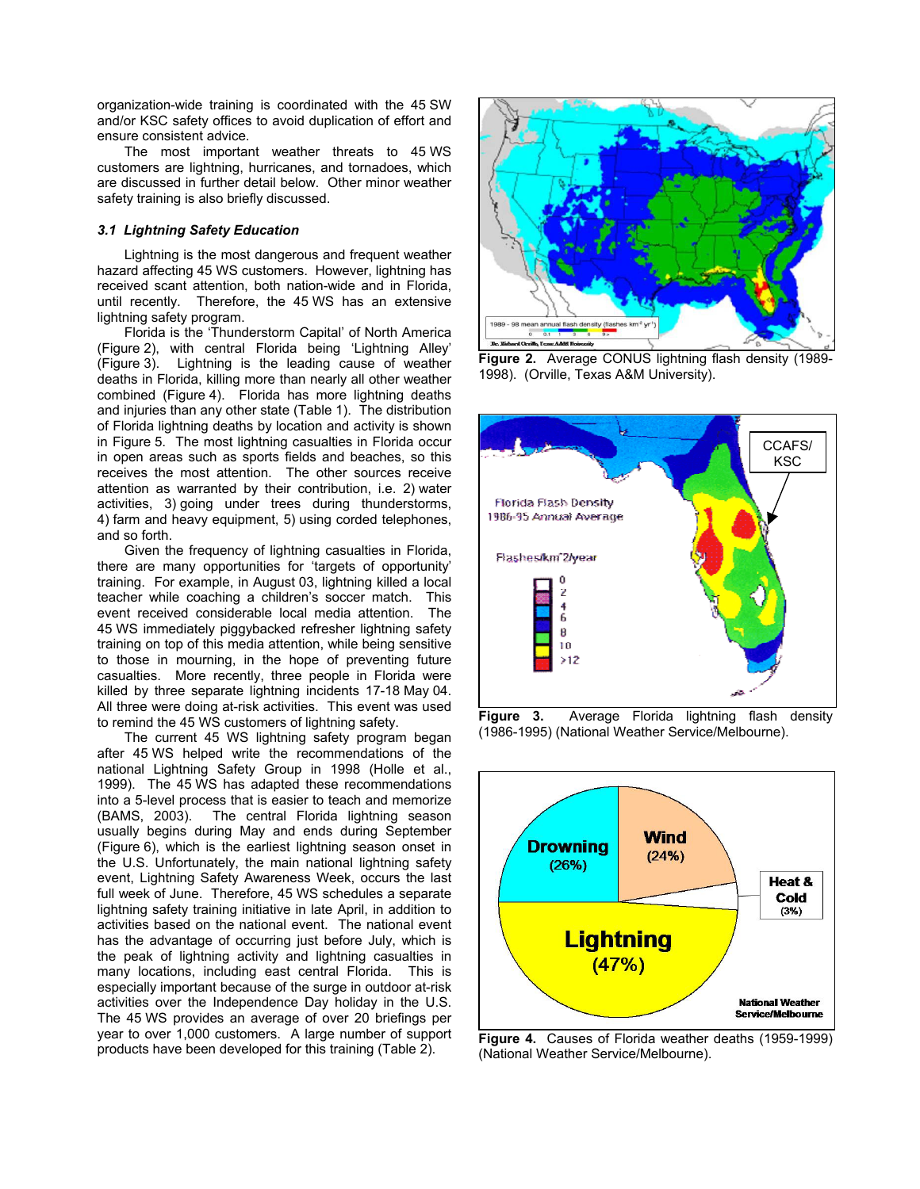organization-wide training is coordinated with the 45 SW and/or KSC safety offices to avoid duplication of effort and ensure consistent advice.

The most important weather threats to 45 WS customers are lightning, hurricanes, and tornadoes, which are discussed in further detail below. Other minor weather safety training is also briefly discussed.

### *3.1 Lightning Safety Education*

Lightning is the most dangerous and frequent weather hazard affecting 45 WS customers. However, lightning has received scant attention, both nation-wide and in Florida, until recently. Therefore, the 45 WS has an extensive lightning safety program.

Florida is the 'Thunderstorm Capital' of North America (Figure 2), with central Florida being 'Lightning Alley' (Figure 3). Lightning is the leading cause of weather deaths in Florida, killing more than nearly all other weather combined (Figure 4). Florida has more lightning deaths and injuries than any other state (Table 1). The distribution of Florida lightning deaths by location and activity is shown in Figure 5. The most lightning casualties in Florida occur in open areas such as sports fields and beaches, so this receives the most attention. The other sources receive attention as warranted by their contribution, i.e. 2) water activities, 3) going under trees during thunderstorms, 4) farm and heavy equipment, 5) using corded telephones, and so forth.

Given the frequency of lightning casualties in Florida, there are many opportunities for 'targets of opportunity' training. For example, in August 03, lightning killed a local teacher while coaching a children's soccer match. This event received considerable local media attention. The 45 WS immediately piggybacked refresher lightning safety training on top of this media attention, while being sensitive to those in mourning, in the hope of preventing future casualties. More recently, three people in Florida were killed by three separate lightning incidents 17-18 May 04. All three were doing at-risk activities. This event was used

The current 45 WS lightning safety program began after 45 WS helped write the recommendations of the national Lightning Safety Group in 1998 (Holle et al., 1999). The 45 WS has adapted these recommendations into a 5-level process that is easier to teach and memorize (BAMS, 2003). The central Florida lightning season usually begins during May and ends during September (Figure 6), which is the earliest lightning season onset in the U.S. Unfortunately, the main national lightning safety event, Lightning Safety Awareness Week, occurs the last full week of June. Therefore, 45 WS schedules a separate lightning safety training initiative in late April, in addition to activities based on the national event. The national event has the advantage of occurring just before July, which is the peak of lightning activity and lightning casualties in many locations, including east central Florida. This is especially important because of the surge in outdoor at-risk activities over the Independence Day holiday in the U.S. The 45 WS provides an average of over 20 briefings per year to over 1,000 customers. A large number of support



**Figure 2.** Average CONUS lightning flash density (1989- 1998). (Orville, Texas A&M University).



to remind the 45 WS customers of lightning safety. **Figure 3.** Average Florida lightning flash density<br>to remind the 45 WS customers of lightning safety. reason (1986-1995) (National Weather Service/Melbourne).



year to over 1,000 customers. A large number of support **Figure 4.** Causes of Florida weather deaths (1959-1999)<br>products have been developed for this training (Table 2). (National Weather Service/Melbourne) (National Weather Service/Melbourne).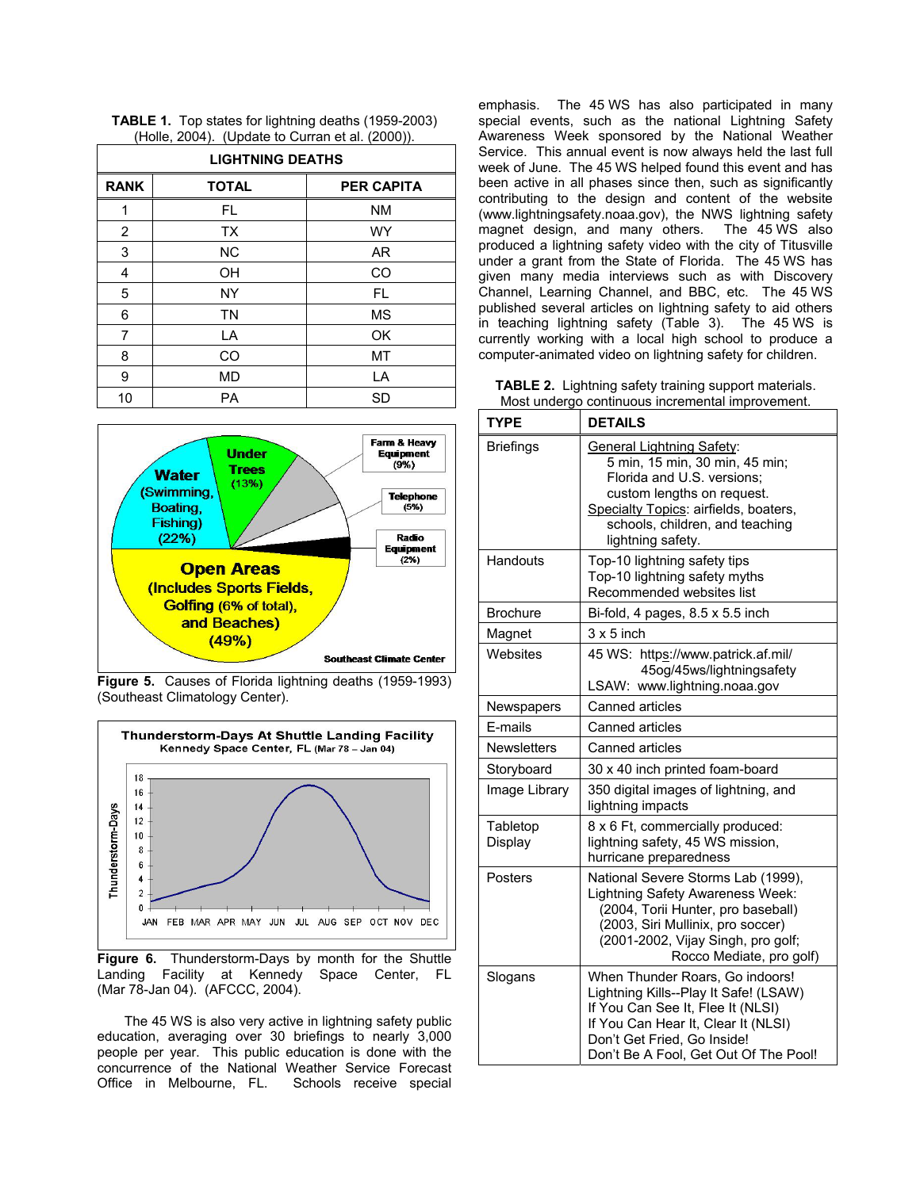| $(1.010, 200)$ , $(2)$ page to barran of an $(2000)$ .<br><b>LIGHTNING DEATHS</b> |              |                   |  |
|-----------------------------------------------------------------------------------|--------------|-------------------|--|
| <b>RANK</b>                                                                       | <b>TOTAL</b> | <b>PER CAPITA</b> |  |
| 1                                                                                 | FL.          | <b>NM</b>         |  |
| 2                                                                                 | <b>TX</b>    | <b>WY</b>         |  |
| 3                                                                                 | <b>NC</b>    | AR.               |  |
| 4                                                                                 | <b>OH</b>    | CO                |  |
| 5                                                                                 | <b>NY</b>    | <b>FL</b>         |  |
| 6                                                                                 | <b>TN</b>    | <b>MS</b>         |  |
| 7                                                                                 | LA           | OK                |  |
| 8                                                                                 | CO           | MT                |  |
| 9                                                                                 | <b>MD</b>    | LA                |  |
| 10                                                                                | PA           | <b>SD</b>         |  |

**TABLE 1.** Top states for lightning deaths (1959-2003) (Holle, 2004). (Update to Curran et al. (2000)).



**Figure 5.** Causes of Florida lightning deaths (1959-1993) (Southeast Climatology Center).



**Figure 6.** Thunderstorm-Days by month for the Shuttle Landing Facility at Kennedy Space Center, FL (Mar 78-Jan 04). (AFCCC, 2004).

The 45 WS is also very active in lightning safety public education, averaging over 30 briefings to nearly 3,000 people per year. This public education is done with the concurrence of the National Weather Service Forecast Office in Melbourne, FL. Schools receive special

emphasis. The 45 WS has also participated in many special events, such as the national Lightning Safety Awareness Week sponsored by the National Weather Service. This annual event is now always held the last full week of June. The 45 WS helped found this event and has been active in all phases since then, such as significantly contributing to the design and content of the website (www.lightningsafety.noaa.gov), the NWS lightning safety magnet design, and many others. The 45 WS also produced a lightning safety video with the city of Titusville under a grant from the State of Florida. The 45 WS has given many media interviews such as with Discovery Channel, Learning Channel, and BBC, etc. The 45 WS published several articles on lightning safety to aid others in teaching lightning safety (Table 3). The 45 WS is currently working with a local high school to produce a computer-animated video on lightning safety for children.

**TABLE 2.** Lightning safety training support materials. Most undergo continuous incremental improvement.

| <b>TYPE</b>         | <b>DETAILS</b>                                                                                                                                                                                                                  |  |
|---------------------|---------------------------------------------------------------------------------------------------------------------------------------------------------------------------------------------------------------------------------|--|
| <b>Briefings</b>    | <b>General Lightning Safety:</b><br>5 min, 15 min, 30 min, 45 min;<br>Florida and U.S. versions;<br>custom lengths on request.<br>Specialty Topics: airfields, boaters,<br>schools, children, and teaching<br>lightning safety. |  |
| Handouts            | Top-10 lightning safety tips<br>Top-10 lightning safety myths<br>Recommended websites list                                                                                                                                      |  |
| <b>Brochure</b>     | Bi-fold, 4 pages, 8.5 x 5.5 inch                                                                                                                                                                                                |  |
| Magnet              | $3 \times 5$ inch                                                                                                                                                                                                               |  |
| Websites            | 45 WS: https://www.patrick.af.mil/<br>45og/45ws/lightningsafety<br>LSAW: www.lightning.noaa.gov                                                                                                                                 |  |
| Newspapers          | Canned articles                                                                                                                                                                                                                 |  |
| E-mails             | Canned articles                                                                                                                                                                                                                 |  |
| <b>Newsletters</b>  | Canned articles                                                                                                                                                                                                                 |  |
| Storyboard          | 30 x 40 inch printed foam-board                                                                                                                                                                                                 |  |
| Image Library       | 350 digital images of lightning, and<br>lightning impacts                                                                                                                                                                       |  |
| Tabletop<br>Display | 8 x 6 Ft, commercially produced:<br>lightning safety, 45 WS mission,<br>hurricane preparedness                                                                                                                                  |  |
| Posters             | National Severe Storms Lab (1999),<br>Lightning Safety Awareness Week:<br>(2004, Torii Hunter, pro baseball)<br>(2003, Siri Mullinix, pro soccer)<br>(2001-2002, Vijay Singh, pro golf;<br>Rocco Mediate, pro golf)             |  |
| Slogans             | When Thunder Roars, Go indoors!<br>Lightning Kills--Play It Safe! (LSAW)<br>If You Can See It, Flee It (NLSI)<br>If You Can Hear It, Clear It (NLSI)<br>Don't Get Fried, Go Inside!<br>Don't Be A Fool, Get Out Of The Pool!    |  |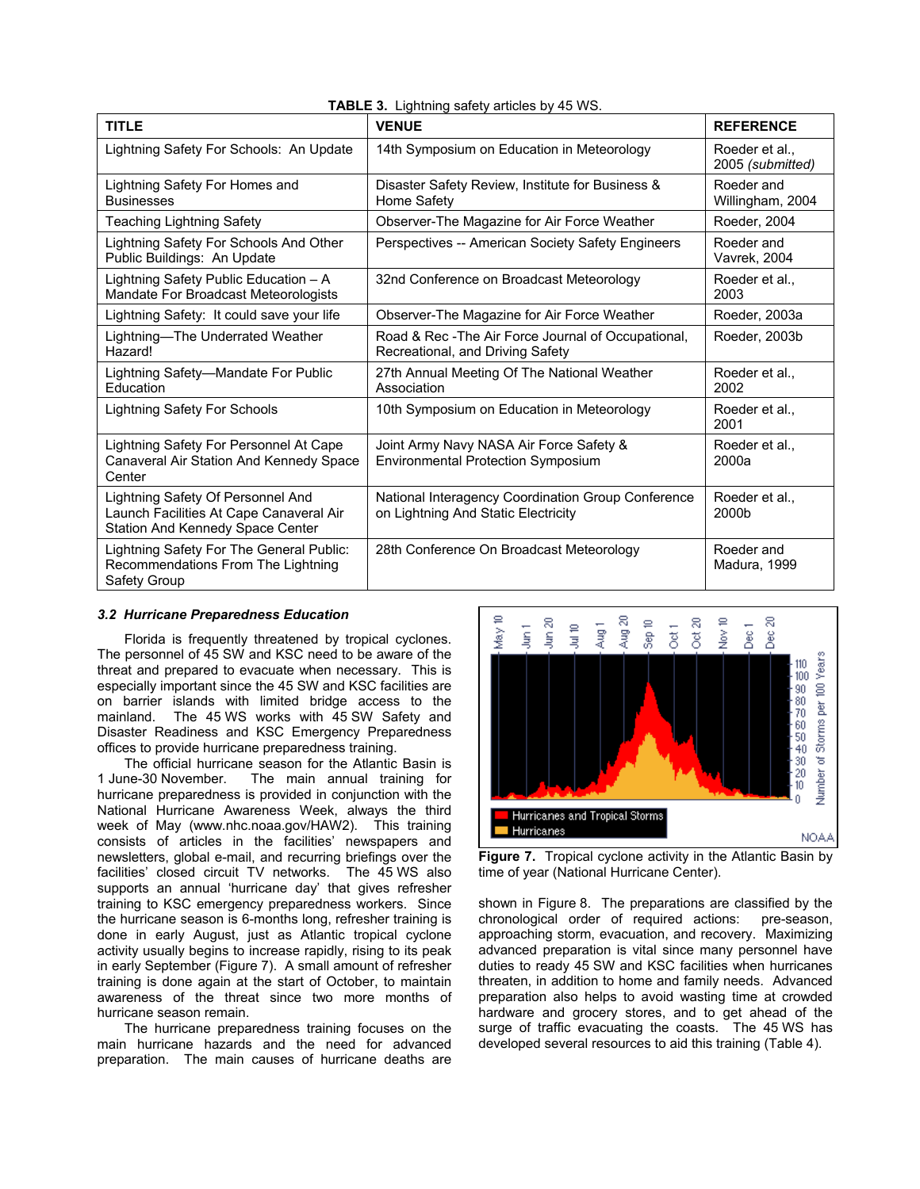| <b>TITLE</b>                                                                                                     | <b>VENUE</b>                                                                              | <b>REFERENCE</b>                 |
|------------------------------------------------------------------------------------------------------------------|-------------------------------------------------------------------------------------------|----------------------------------|
| Lightning Safety For Schools: An Update                                                                          | 14th Symposium on Education in Meteorology                                                | Roeder et al<br>2005 (submitted) |
| Lightning Safety For Homes and<br><b>Businesses</b>                                                              | Disaster Safety Review, Institute for Business &<br>Home Safety                           | Roeder and<br>Willingham, 2004   |
| <b>Teaching Lightning Safety</b>                                                                                 | Observer-The Magazine for Air Force Weather                                               | Roeder, 2004                     |
| Lightning Safety For Schools And Other<br>Public Buildings: An Update                                            | Perspectives -- American Society Safety Engineers                                         | Roeder and<br>Vavrek, 2004       |
| Lightning Safety Public Education - A<br>Mandate For Broadcast Meteorologists                                    | 32nd Conference on Broadcast Meteorology                                                  | Roeder et al<br>2003             |
| Lightning Safety: It could save your life                                                                        | Observer-The Magazine for Air Force Weather                                               | Roeder, 2003a                    |
| Lightning-The Underrated Weather<br>Hazard!                                                                      | Road & Rec - The Air Force Journal of Occupational,<br>Recreational, and Driving Safety   | Roeder, 2003b                    |
| Lightning Safety-Mandate For Public<br>Education                                                                 | 27th Annual Meeting Of The National Weather<br>Association                                | Roeder et al.,<br>2002           |
| <b>Lightning Safety For Schools</b>                                                                              | 10th Symposium on Education in Meteorology                                                | Roeder et al.,<br>2001           |
| Lightning Safety For Personnel At Cape<br>Canaveral Air Station And Kennedy Space<br>Center                      | Joint Army Navy NASA Air Force Safety &<br><b>Environmental Protection Symposium</b>      | Roeder et al<br>2000a            |
| Lightning Safety Of Personnel And<br>Launch Facilities At Cape Canaveral Air<br>Station And Kennedy Space Center | National Interagency Coordination Group Conference<br>on Lightning And Static Electricity | Roeder et al<br>2000b            |
| Lightning Safety For The General Public:<br>Recommendations From The Lightning<br>Safety Group                   | 28th Conference On Broadcast Meteorology                                                  | Roeder and<br>Madura, 1999       |

# **TABLE 3.** Lightning safety articles by 45 WS.

# *3.2 Hurricane Preparedness Education*

Florida is frequently threatened by tropical cyclones. The personnel of 45 SW and KSC need to be aware of the threat and prepared to evacuate when necessary. This is especially important since the 45 SW and KSC facilities are on barrier islands with limited bridge access to the mainland. The 45 WS works with 45 SW Safety and Disaster Readiness and KSC Emergency Preparedness offices to provide hurricane preparedness training.

The official hurricane season for the Atlantic Basin is 1 June-30 November. The main annual training for hurricane preparedness is provided in conjunction with the National Hurricane Awareness Week, always the third week of May (www.nhc.noaa.gov/HAW2). This training consists of articles in the facilities' newspapers and newsletters, global e-mail, and recurring briefings over the facilities' closed circuit TV networks. The 45 WS also supports an annual 'hurricane day' that gives refresher training to KSC emergency preparedness workers. Since the hurricane season is 6-months long, refresher training is done in early August, just as Atlantic tropical cyclone activity usually begins to increase rapidly, rising to its peak in early September (Figure 7). A small amount of refresher training is done again at the start of October, to maintain awareness of the threat since two more months of hurricane season remain.

The hurricane preparedness training focuses on the main hurricane hazards and the need for advanced preparation. The main causes of hurricane deaths are



**Figure 7.** Tropical cyclone activity in the Atlantic Basin by time of year (National Hurricane Center).

shown in Figure 8. The preparations are classified by the chronological order of required actions: pre-season, approaching storm, evacuation, and recovery. Maximizing advanced preparation is vital since many personnel have duties to ready 45 SW and KSC facilities when hurricanes threaten, in addition to home and family needs. Advanced preparation also helps to avoid wasting time at crowded hardware and grocery stores, and to get ahead of the surge of traffic evacuating the coasts. The 45 WS has developed several resources to aid this training (Table 4).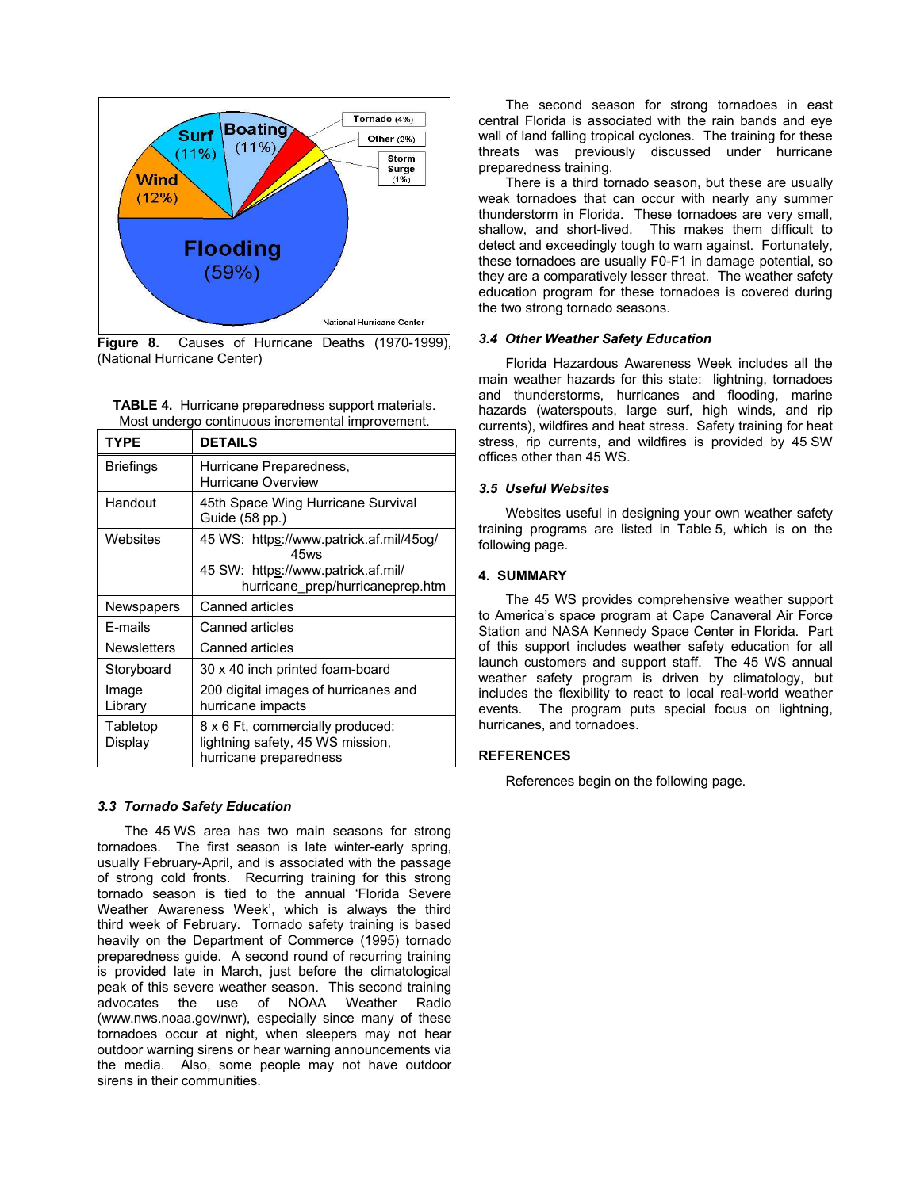

**Figure 8.** Causes of Hurricane Deaths (1970-1999), *3.4 Other Weather Safety Education*

| <b>TABLE 4.</b> Hurricane preparedness support materials. |
|-----------------------------------------------------------|
| Most undergo continuous incremental improvement.          |

| <b>TYPE</b>         | <b>DETAILS</b>                                                                                 |
|---------------------|------------------------------------------------------------------------------------------------|
| <b>Briefings</b>    | Hurricane Preparedness,<br>Hurricane Overview                                                  |
| Handout             | 45th Space Wing Hurricane Survival<br>Guide (58 pp.)                                           |
| Websites            | 45 WS: https://www.patrick.af.mil/45og/<br>45ws                                                |
|                     | 45 SW: https://www.patrick.af.mil/<br>hurricane_prep/hurricaneprep.htm                         |
| Newspapers          | Canned articles                                                                                |
| E-mails             | Canned articles                                                                                |
| <b>Newsletters</b>  | Canned articles                                                                                |
| Storyboard          | 30 x 40 inch printed foam-board                                                                |
| Image<br>Library    | 200 digital images of hurricanes and<br>hurricane impacts                                      |
| Tabletop<br>Display | 8 x 6 Ft, commercially produced:<br>lightning safety, 45 WS mission,<br>hurricane preparedness |

# *3.3 Tornado Safety Education*

The 45 WS area has two main seasons for strong tornadoes. The first season is late winter-early spring, usually February-April, and is associated with the passage of strong cold fronts. Recurring training for this strong tornado season is tied to the annual 'Florida Severe Weather Awareness Week', which is always the third third week of February. Tornado safety training is based heavily on the Department of Commerce (1995) tornado preparedness guide. A second round of recurring training is provided late in March, just before the climatological peak of this severe weather season. This second training advocates the use of NOAA Weather Radio (www.nws.noaa.gov/nwr), especially since many of these tornadoes occur at night, when sleepers may not hear outdoor warning sirens or hear warning announcements via the media. Also, some people may not have outdoor sirens in their communities.

The second season for strong tornadoes in east central Florida is associated with the rain bands and eye wall of land falling tropical cyclones. The training for these threats was previously discussed under hurricane preparedness training.

There is a third tornado season, but these are usually weak tornadoes that can occur with nearly any summer thunderstorm in Florida. These tornadoes are very small, shallow, and short-lived. This makes them difficult to detect and exceedingly tough to warn against. Fortunately, these tornadoes are usually F0-F1 in damage potential, so they are a comparatively lesser threat. The weather safety education program for these tornadoes is covered during the two strong tornado seasons.

(National Hurricane Center) The State of the State of Florida Hazardous Awareness Week includes all the main weather hazards for this state: lightning, tornadoes and thunderstorms, hurricanes and flooding, marine hazards (waterspouts, large surf, high winds, and rip currents), wildfires and heat stress. Safety training for heat stress, rip currents, and wildfires is provided by 45 SW offices other than 45 WS.

### *3.5 Useful Websites*

Websites useful in designing your own weather safety training programs are listed in Table 5, which is on the following page.

### **4. SUMMARY**

The 45 WS provides comprehensive weather support to America's space program at Cape Canaveral Air Force Station and NASA Kennedy Space Center in Florida. Part of this support includes weather safety education for all launch customers and support staff. The 45 WS annual weather safety program is driven by climatology, but includes the flexibility to react to local real-world weather events. The program puts special focus on lightning, hurricanes, and tornadoes.

# **REFERENCES**

References begin on the following page.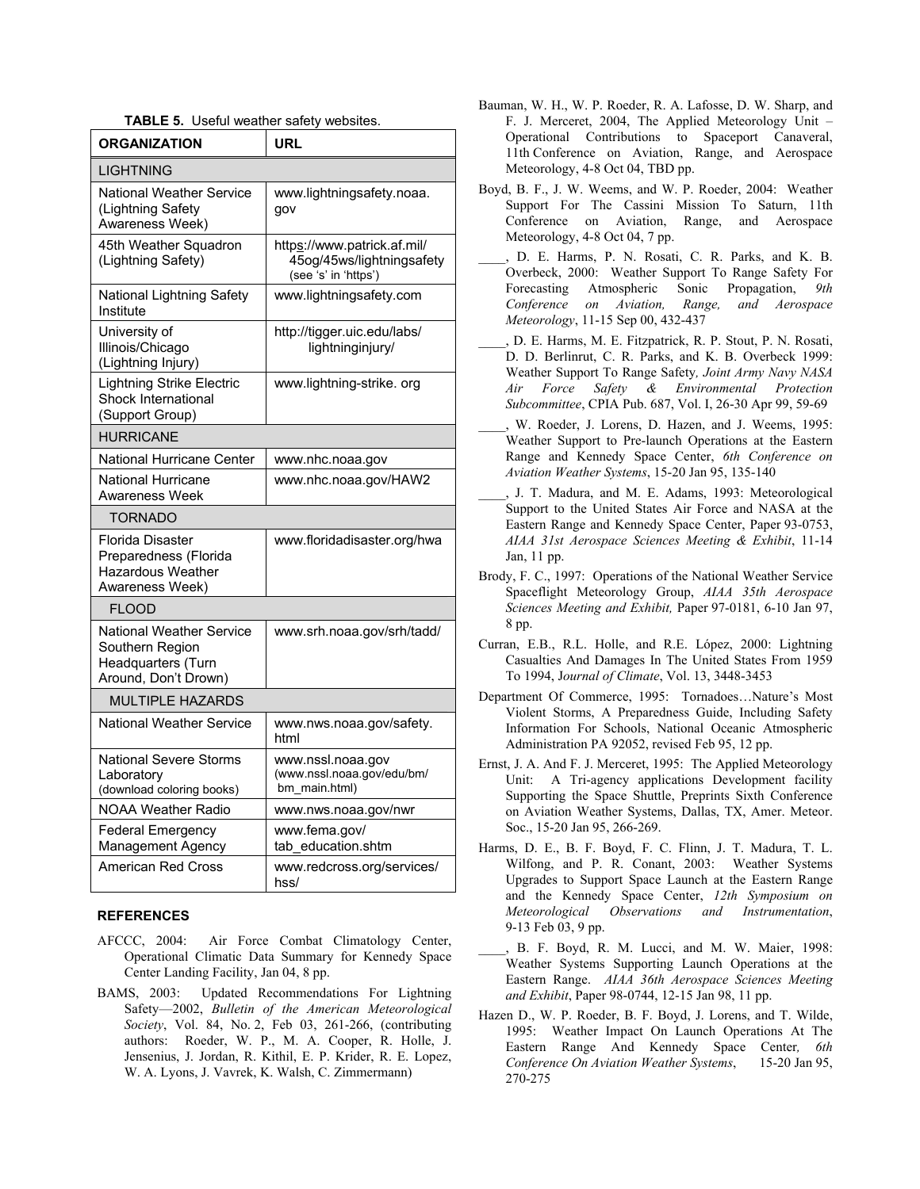|  | <b>TABLE 5.</b> Useful weather safety websites. |  |
|--|-------------------------------------------------|--|
|--|-------------------------------------------------|--|

| <b>ORGANIZATION</b>                                                                              | <b>URL</b>                                                                       |
|--------------------------------------------------------------------------------------------------|----------------------------------------------------------------------------------|
| LIGHTNING                                                                                        |                                                                                  |
| <b>National Weather Service</b><br>(Lightning Safety<br>Awareness Week)                          | www.lightningsafety.noaa.<br>gov                                                 |
| 45th Weather Squadron<br>(Lightning Safety)                                                      | https://www.patrick.af.mil/<br>45og/45ws/lightningsafety<br>(see 's' in 'https') |
| National Lightning Safety<br>Institute                                                           | www.lightningsafety.com                                                          |
| University of<br>Illinois/Chicago<br>(Lightning Injury)                                          | http://tigger.uic.edu/labs/<br>lightninginjury/                                  |
| <b>Lightning Strike Electric</b><br><b>Shock International</b><br>(Support Group)                | www.lightning-strike.org                                                         |
| <b>HURRICANE</b>                                                                                 |                                                                                  |
| National Hurricane Center                                                                        | www.nhc.noaa.gov                                                                 |
| <b>National Hurricane</b><br>Awareness Week                                                      | www.nhc.noaa.gov/HAW2                                                            |
| <b>TORNADO</b>                                                                                   |                                                                                  |
| Florida Disaster<br>Preparedness (Florida<br><b>Hazardous Weather</b><br>Awareness Week)         | www.floridadisaster.org/hwa                                                      |
| <b>FLOOD</b>                                                                                     |                                                                                  |
| <b>National Weather Service</b><br>Southern Region<br>Headquarters (Turn<br>Around, Don't Drown) | www.srh.noaa.gov/srh/tadd/                                                       |
| <b>MULTIPLE HAZARDS</b>                                                                          |                                                                                  |
| <b>National Weather Service</b>                                                                  | www.nws.noaa.gov/safety.<br>html                                                 |
| <b>National Severe Storms</b><br>Laboratory<br>(download coloring books)                         | www.nssl.noaa.gov<br>(www.nssl.noaa.gov/edu/bm/<br>bm main.html)                 |
| <b>NOAA Weather Radio</b>                                                                        | www.nws.noaa.gov/nwr                                                             |
| <b>Federal Emergency</b><br><b>Management Agency</b>                                             | www.fema.gov/<br>tab education.shtm                                              |
| <b>American Red Cross</b>                                                                        | www.redcross.org/services/<br>hss/                                               |

### **REFERENCES**

- AFCCC, 2004: Air Force Combat Climatology Center, Operational Climatic Data Summary for Kennedy Space Center Landing Facility, Jan 04, 8 pp.
- Safety—2002, *Bulletin of the American Meteorological Society*, Vol. 84, No. 2, Feb 03, 261-266, (contributing authors: Roeder, W. P., M. A. Cooper, R. Holle, J. Jensenius, J. Jordan, R. Kithil, E. P. Krider, R. E. Lopez, W. A. Lyons, J. Vavrek, K. Walsh, C. Zimmermann)
- Bauman, W. H., W. P. Roeder, R. A. Lafosse, D. W. Sharp, and F. J. Merceret, 2004, The Applied Meteorology Unit – Operational Contributions to Spaceport Canaveral, 11th Conference on Aviation, Range, and Aerospace Meteorology, 4-8 Oct 04, TBD pp.
- Boyd, B. F., J. W. Weems, and W. P. Roeder, 2004: Weather Support For The Cassini Mission To Saturn, 11th Conference on Aviation, Range, and Aerospace Meteorology, 4-8 Oct 04, 7 pp.
- D. E. Harms, P. N. Rosati, C. R. Parks, and K. B. Overbeck, 2000: Weather Support To Range Safety For Forecasting Atmospheric Sonic Propagation, *9th Conference on Aviation, Range, and Aerospace Meteorology*, 11-15 Sep 00, 432-437
- \_\_\_\_, D. E. Harms, M. E. Fitzpatrick, R. P. Stout, P. N. Rosati, D. D. Berlinrut, C. R. Parks, and K. B. Overbeck 1999: Weather Support To Range Safety*, Joint Army Navy NASA Air Force Safety & Environmental Protection Subcommittee*, CPIA Pub. 687, Vol. I, 26-30 Apr 99, 59-69
- W. Roeder, J. Lorens, D. Hazen, and J. Weems, 1995: Weather Support to Pre-launch Operations at the Eastern Range and Kennedy Space Center, *6th Conference on Aviation Weather Systems*, 15-20 Jan 95, 135-140
- \_\_\_\_, J. T. Madura, and M. E. Adams, 1993: Meteorological Support to the United States Air Force and NASA at the Eastern Range and Kennedy Space Center, Paper 93-0753, *AIAA 31st Aerospace Sciences Meeting & Exhibit*, 11-14 Jan, 11 pp.
- Brody, F. C., 1997: Operations of the National Weather Service Spaceflight Meteorology Group, *AIAA 35th Aerospace Sciences Meeting and Exhibit,* Paper 97-0181, 6-10 Jan 97, 8 pp.
- Curran, E.B., R.L. Holle, and R.E. López, 2000: Lightning Casualties And Damages In The United States From 1959 To 1994, J*ournal of Climate*, Vol. 13, 3448-3453
- Department Of Commerce, 1995: Tornadoes…Nature's Most Violent Storms, A Preparedness Guide, Including Safety Information For Schools, National Oceanic Atmospheric Administration PA 92052, revised Feb 95, 12 pp.
- Ernst, J. A. And F. J. Merceret, 1995: The Applied Meteorology Unit: A Tri-agency applications Development facility Supporting the Space Shuttle, Preprints Sixth Conference on Aviation Weather Systems, Dallas, TX, Amer. Meteor. Soc., 15-20 Jan 95, 266-269.
- Harms, D. E., B. F. Boyd, F. C. Flinn, J. T. Madura, T. L. Wilfong, and P. R. Conant, 2003: Weather Systems Upgrades to Support Space Launch at the Eastern Range and the Kennedy Space Center, *12th Symposium on Meteorological Observations and Instrumentation*, 9-13 Feb 03, 9 pp.
- B. F. Boyd, R. M. Lucci, and M. W. Maier, 1998: Weather Systems Supporting Launch Operations at the Eastern Range. *AIAA 36th Aerospace Sciences Meeting*  BAMS, 2003: Updated Recommendations For Lightning *and Exhibit*, Paper 98-0744, 12-15 Jan 98, 11 pp.
	- Hazen D., W. P. Roeder, B. F. Boyd, J. Lorens, and T. Wilde, 1995: Weather Impact On Launch Operations At The Eastern Range And Kennedy Space Center*, 6th Conference On Aviation Weather Systems*, 15-20 Jan 95, 270-275